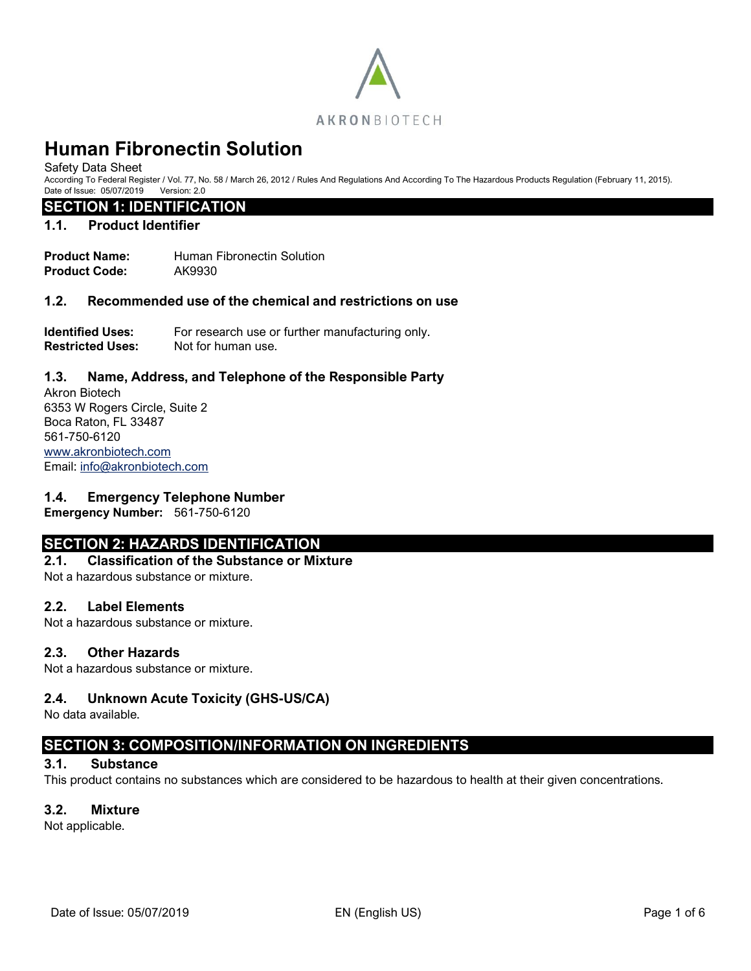

Safety Data Sheet

According To Federal Register / Vol. 77, No. 58 / March 26, 2012 / Rules And Regulations And According To The Hazardous Products Regulation (February 11, 2015). Date of Issue: 05/07/2019 Version: 2.0

### **SECTION 1: IDENTIFICATION**

#### **1.1. Product Identifier**

**Product Name: Human Fibronectin Solution Product Code:** AK9930

#### **1.2. Recommended use of the chemical and restrictions on use**

**Identified Uses:** For research use or further manufacturing only. **Restricted Uses:** Not for human use.

#### **1.3. Name, Address, and Telephone of the Responsible Party**

Akron Biotech 6353 W Rogers Circle, Suite 2 Boca Raton, FL 33487 561-750-6120 [www.akronbiotech.com](http://www.akronbiotech.com/%3c/a) Email: [info@akronbiotech.com](mailto:info@akronbiotech.com)

#### **1.4. Emergency Telephone Number**

**Emergency Number:** 561-750-6120

# **SECTION 2: HAZARDS IDENTIFICATION**

**2.1. Classification of the Substance or Mixture** Not a hazardous substance or mixture.

#### **2.2. Label Elements**

Not a hazardous substance or mixture.

#### **2.3. Other Hazards**

Not a hazardous substance or mixture.

#### **2.4. Unknown Acute Toxicity (GHS-US/CA)**

No data available.

# **SECTION 3: COMPOSITION/INFORMATION ON INGREDIENTS**

# **3.1. Substance**

This product contains no substances which are considered to be hazardous to health at their given concentrations.

#### **3.2. Mixture**

Not applicable.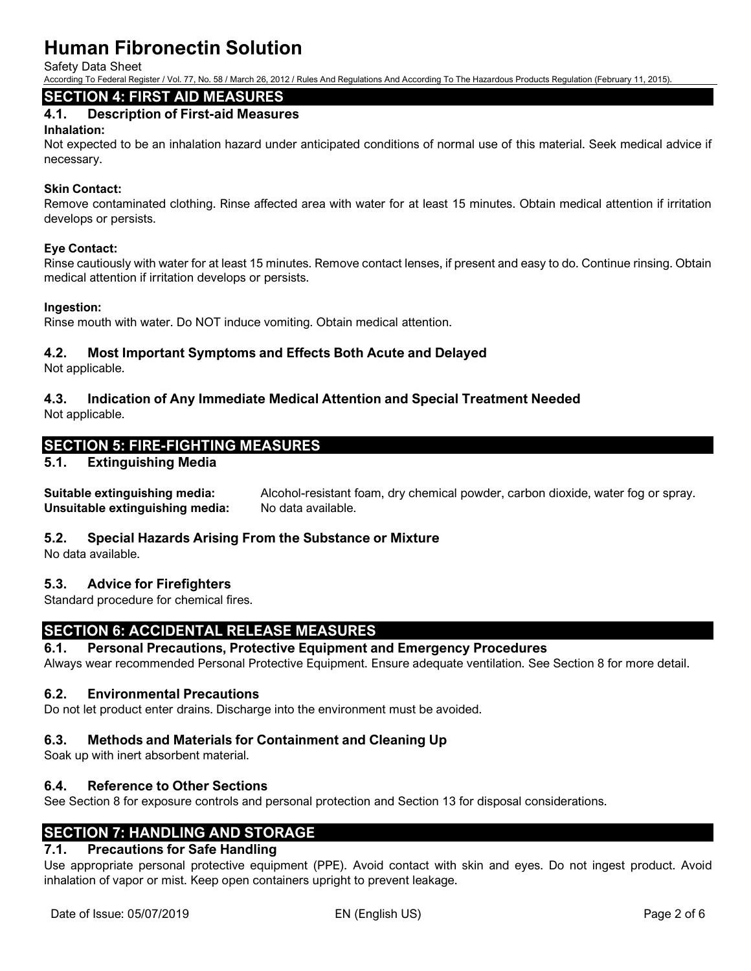Safety Data Sheet

According To Federal Register / Vol. 77, No. 58 / March 26, 2012 / Rules And Regulations And According To The Hazardous Products Regulation (February 11, 2015).

# **SECTION 4: FIRST AID MEASURES**

# **4.1. Description of First-aid Measures**

#### **Inhalation:**

Not expected to be an inhalation hazard under anticipated conditions of normal use of this material. Seek medical advice if necessary.

#### **Skin Contact:**

Remove contaminated clothing. Rinse affected area with water for at least 15 minutes. Obtain medical attention if irritation develops or persists.

#### **Eye Contact:**

Rinse cautiously with water for at least 15 minutes. Remove contact lenses, if present and easy to do. Continue rinsing. Obtain medical attention if irritation develops or persists.

#### **Ingestion:**

Rinse mouth with water. Do NOT induce vomiting. Obtain medical attention.

### **4.2. Most Important Symptoms and Effects Both Acute and Delayed**

Not applicable.

# **4.3. Indication of Any Immediate Medical Attention and Special Treatment Needed**

Not applicable.

# **SECTION 5: FIRE-FIGHTING MEASURES**

#### **5.1. Extinguishing Media**

**Suitable extinguishing media:** Alcohol-resistant foam, dry chemical powder, carbon dioxide, water fog or spray. **Unsuitable extinguishing media:** No data available.

#### **5.2. Special Hazards Arising From the Substance or Mixture**

No data available.

#### **5.3. Advice for Firefighters**

Standard procedure for chemical fires.

# **SECTION 6: ACCIDENTAL RELEASE MEASURES**

#### **6.1. Personal Precautions, Protective Equipment and Emergency Procedures**

Always wear recommended Personal Protective Equipment. Ensure adequate ventilation. See Section 8 for more detail.

#### **6.2. Environmental Precautions**

Do not let product enter drains. Discharge into the environment must be avoided.

#### **6.3. Methods and Materials for Containment and Cleaning Up**

Soak up with inert absorbent material.

#### **6.4. Reference to Other Sections**

See Section 8 for exposure controls and personal protection and Section 13 for disposal considerations.

# **SECTION 7: HANDLING AND STORAGE**

# **7.1. Precautions for Safe Handling**

Use appropriate personal protective equipment (PPE). Avoid contact with skin and eyes. Do not ingest product. Avoid inhalation of vapor or mist. Keep open containers upright to prevent leakage.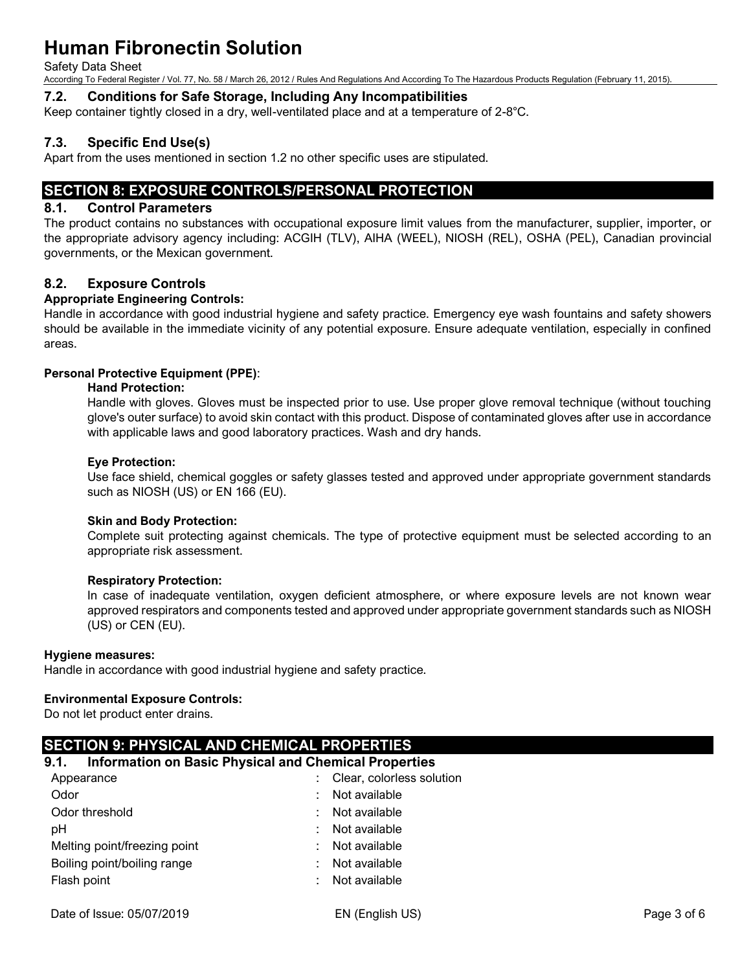Safety Data Sheet

According To Federal Register / Vol. 77, No. 58 / March 26, 2012 / Rules And Regulations And According To The Hazardous Products Regulation (February 11, 2015).

#### **7.2. Conditions for Safe Storage, Including Any Incompatibilities**

Keep container tightly closed in a dry, well-ventilated place and at a temperature of 2-8°C.

# **7.3. Specific End Use(s)**

Apart from the uses mentioned in section 1.2 no other specific uses are stipulated.

# **SECTION 8: EXPOSURE CONTROLS/PERSONAL PROTECTION**

#### **8.1. Control Parameters**

The product contains no substances with occupational exposure limit values from the manufacturer, supplier, importer, or the appropriate advisory agency including: ACGIH (TLV), AIHA (WEEL), NIOSH (REL), OSHA (PEL), Canadian provincial governments, or the Mexican government.

### **8.2. Exposure Controls**

#### **Appropriate Engineering Controls:**

Handle in accordance with good industrial hygiene and safety practice. Emergency eye wash fountains and safety showers should be available in the immediate vicinity of any potential exposure. Ensure adequate ventilation, especially in confined areas.

#### **Personal Protective Equipment (PPE)**:

#### **Hand Protection:**

Handle with gloves. Gloves must be inspected prior to use. Use proper glove removal technique (without touching glove's outer surface) to avoid skin contact with this product. Dispose of contaminated gloves after use in accordance with applicable laws and good laboratory practices. Wash and dry hands.

#### **Eye Protection:**

Use face shield, chemical goggles or safety glasses tested and approved under appropriate government standards such as NIOSH (US) or EN 166 (EU).

#### **Skin and Body Protection:**

Complete suit protecting against chemicals. The type of protective equipment must be selected according to an appropriate risk assessment.

#### **Respiratory Protection:**

In case of inadequate ventilation, oxygen deficient atmosphere, or where exposure levels are not known wear approved respirators and components tested and approved under appropriate government standards such as NIOSH (US) or CEN (EU).

#### **Hygiene measures:**

Handle in accordance with good industrial hygiene and safety practice.

#### **Environmental Exposure Controls:**

Do not let product enter drains.

# **SECTION 9: PHYSICAL AND CHEMICAL PROPERTIES**

#### **9.1. Information on Basic Physical and Chemical Properties**

| Appearance                   | : Clear, colorless solution |
|------------------------------|-----------------------------|
| Odor                         | Not available<br>÷          |
| Odor threshold               | Not available<br>t.         |
| pH                           | : Not available             |
| Melting point/freezing point | : Not available             |
| Boiling point/boiling range  | Not available               |
| Flash point                  | Not available               |
|                              |                             |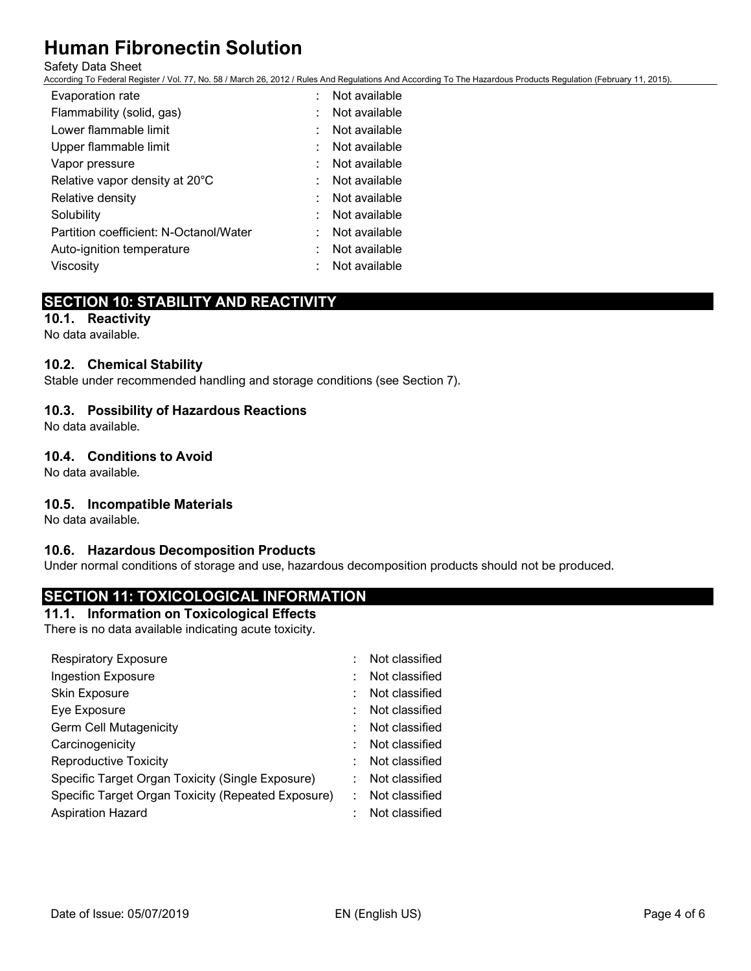#### Safety Data Sheet

According To Federal Register / Vol. 77, No. 58 / March 26, 2012 / Rules And Regulations And According To The Hazardous Products Regulation (February 11, 2015).

| Evaporation rate                       | Not available |
|----------------------------------------|---------------|
| Flammability (solid, gas)              | Not available |
| Lower flammable limit                  | Not available |
| Upper flammable limit                  | Not available |
| Vapor pressure                         | Not available |
| Relative vapor density at 20°C         | Not available |
| Relative density                       | Not available |
| Solubility                             | Not available |
| Partition coefficient: N-Octanol/Water | Not available |
| Auto-ignition temperature              | Not available |
| Viscosity                              | Not available |

# **SECTION 10: STABILITY AND REACTIVITY**

**10.1. Reactivity** No data available.

#### **10.2. Chemical Stability**

Stable under recommended handling and storage conditions (see Section 7).

### **10.3. Possibility of Hazardous Reactions**

No data available.

#### **10.4. Conditions to Avoid**

No data available.

#### **10.5. Incompatible Materials**

No data available.

#### **10.6. Hazardous Decomposition Products**

Under normal conditions of storage and use, hazardous decomposition products should not be produced.

# **SECTION 11: TOXICOLOGICAL INFORMATION**

#### **11.1. Information on Toxicological Effects**

There is no data available indicating acute toxicity.

| <b>Respiratory Exposure</b>                        | Not classified |
|----------------------------------------------------|----------------|
| <b>Ingestion Exposure</b>                          | Not classified |
| Skin Exposure                                      | Not classified |
| Eye Exposure                                       | Not classified |
| <b>Germ Cell Mutagenicity</b>                      | Not classified |
| Carcinogenicity                                    | Not classified |
| <b>Reproductive Toxicity</b>                       | Not classified |
| Specific Target Organ Toxicity (Single Exposure)   | Not classified |
| Specific Target Organ Toxicity (Repeated Exposure) | Not classified |
| <b>Aspiration Hazard</b>                           | Not classified |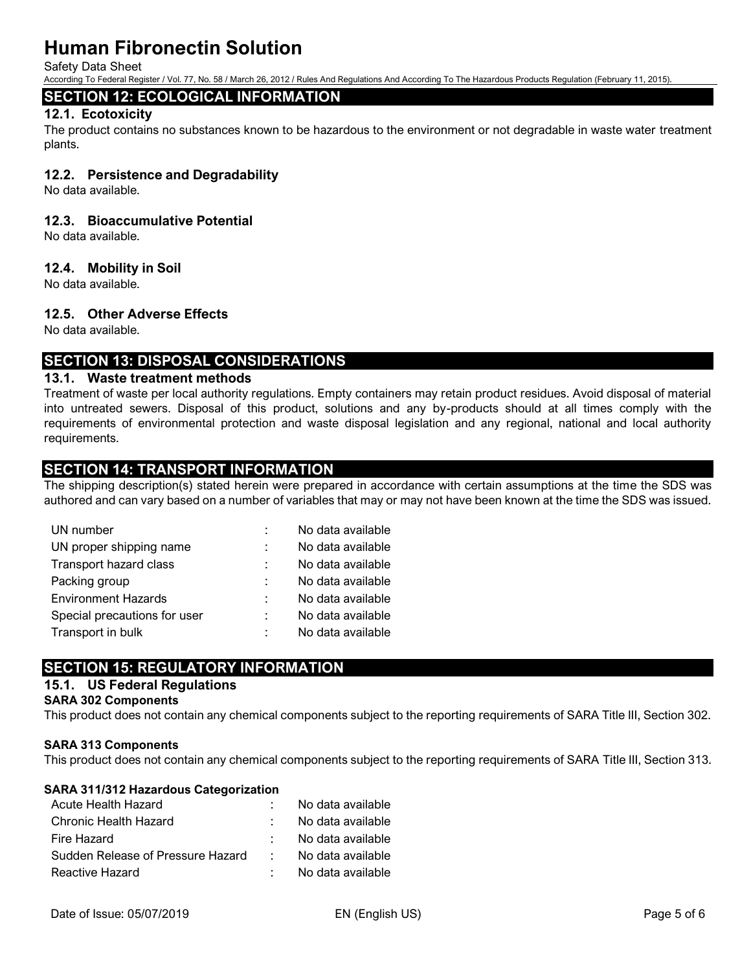Safety Data Sheet

According To Federal Register / Vol. 77, No. 58 / March 26, 2012 / Rules And Regulations And According To The Hazardous Products Regulation (February 11, 2015).

# **SECTION 12: ECOLOGICAL INFORMATION**

#### **12.1. Ecotoxicity**

The product contains no substances known to be hazardous to the environment or not degradable in waste water treatment plants.

#### **12.2. Persistence and Degradability**

No data available.

#### **12.3. Bioaccumulative Potential**

No data available.

#### **12.4. Mobility in Soil**

No data available.

#### **12.5. Other Adverse Effects**

No data available.

# **SECTION 13: DISPOSAL CONSIDERATIONS**

#### **13.1. Waste treatment methods**

Treatment of waste per local authority regulations. Empty containers may retain product residues. Avoid disposal of material into untreated sewers. Disposal of this product, solutions and any by-products should at all times comply with the requirements of environmental protection and waste disposal legislation and any regional, national and local authority requirements.

# **SECTION 14: TRANSPORT INFORMATION**

The shipping description(s) stated herein were prepared in accordance with certain assumptions at the time the SDS was authored and can vary based on a number of variables that may or may not have been known at the time the SDS was issued.

| UN number                    | No data available |
|------------------------------|-------------------|
| UN proper shipping name      | No data available |
| Transport hazard class       | No data available |
| Packing group                | No data available |
| <b>Environment Hazards</b>   | No data available |
| Special precautions for user | No data available |
| Transport in bulk            | No data available |

# **SECTION 15: REGULATORY INFORMATION**

# **15.1. US Federal Regulations**

#### **SARA 302 Components**

This product does not contain any chemical components subject to the reporting requirements of SARA Title III, Section 302.

#### **SARA 313 Components**

This product does not contain any chemical components subject to the reporting requirements of SARA Title III, Section 313.

#### **SARA 311/312 Hazardous Categorization**

|                 | No data available |
|-----------------|-------------------|
|                 | No data available |
|                 | No data available |
| <b>Contract</b> | No data available |
|                 | No data available |
|                 |                   |